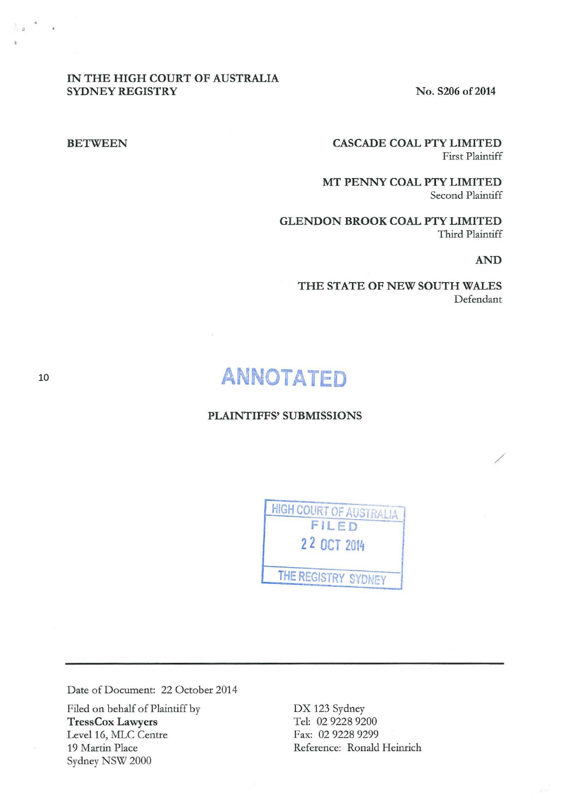# IN THE HIGH COURT OF AUSTRALIA SYDNEY REGISTRY No. S206 of 2014

# BETWEEN CASCADE COAL PTY LIMITED First Plaintiff

MT PENNY COAL PTY LIMITED Second Plaintiff

GLENDON BROOK COAL PTY LIMITED Third Plaintiff

### AND

/

THE STATE OF NEW SOUTH WALES Defendant

# **ANNOTATED**

# PLAINTIFFS' SUBMISSIONS



Date of Document: 22 October 2014

Filed on behalf of Plaintiff by TressCox Lawyers Level 16, MLC Centre 19 Martin Place Sydney NSW 2000

DX 123 Sydney Tel: 02 9228 9200 Fax: 02 9228 9299 Reference: Ronald Heinrich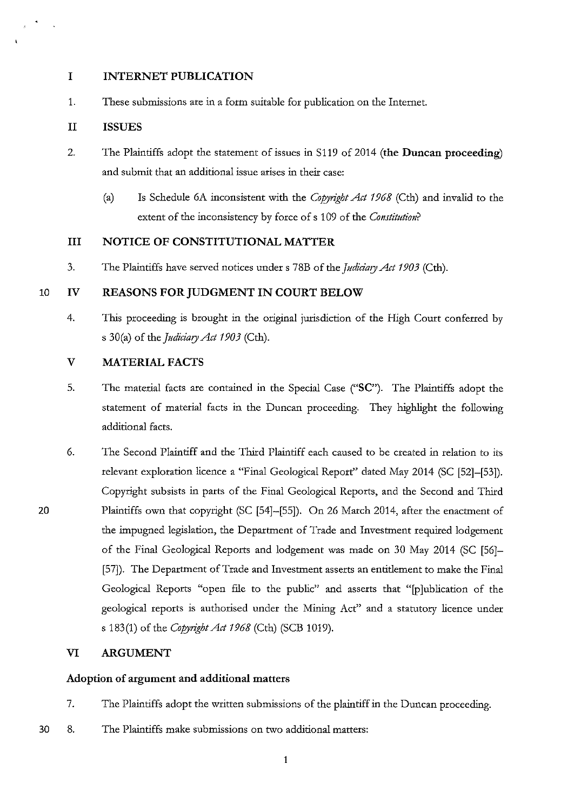# **I INTERNET PUBLICATION**

1. These submissions are in a form suitable for publication on the Internet.

# **II ISSUES**

- 2. The Plaintiffs adopt the statement of issues in S119 of 2014 **(the Duncan proceeding)**  and submit that an additional issue arises in their case:
	- (a) Is Schedule 6A inconsistent with the *Copytight Act 1968* (Cth) and invalid to the extent of the inconsistency by force of s 109 of the *Constitution?*

# **III NOTICE OF CONSTITUTIONAL MATTER**

3. The Plaintiffs have served notices under s 78B of the *judiciary Act 1903* (Cth).

# 10 IV **REASONS FOR JUDGMENT IN COURT BELOW**

4. This proceeding is brought in the original jurisdiction of the High Court conferred by s 30(a) of the *Judiciary Act 1903* (Cth).

# **V MATERIAL FACTS**

- 5. The material facts are contained in the Special Case **("SC").** The Plaintiffs adopt the statement of material facts in the Duncan proceeding. They highlight the following additional facts.
- 6. The Second Plaintiff and the Third Plaintiff each caused to be created in relation to its relevant exploration licence a "Final Geological Report" dated May 2014 (SC [52]-[53]). Copyright subsists in parts of the Final Geological Reports, and the Second and Third Plaintiffs own that copyright (SC [54]-[55]). On 26 March 2014, after the enactment of the impugned legislation, the Department of Trade and Investment required lodgement of the Final Geological Reports and lodgement was made on 30 May 2014 (SC [56]- [57]). The Department of Trade and Investment asserts an entitlement to make the Final Geological Reports "open file to the public" and asserts that "[p]ublication of the geological reports is authorised under the Mining Act" and a statutory licence under s 183(1) of the *Copyright Act 1968* (Cth) (SCB 1019).

# **VI ARGUMENT**

# **Adoption of argument and additional matters**

- 7. The Plaintiffs adopt the written submissions of the plaintiff in the Duncan proceeding.
- 30 8. The Plaintiffs make submissions on two additional matters: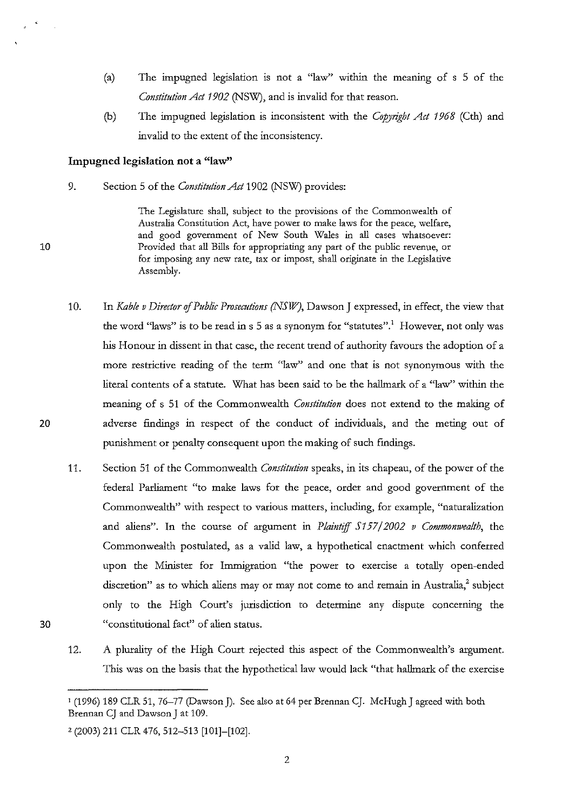- (a) The impugned legislation is not a "law" within the mearung of s 5 of the *Constitution Act 1902* (NSW), and is invalid for that reason.
- (b) The impugned legislation is inconsistent with the *Copyright Act 1968* (Cth) and invalid to the extent of the inconsistency.

# **Impugned legislation not a "law''**

9. Section 5 of the *Constitution Act* 1902 (NSW) provides:

> The Legislature shall, subject to the provisions of the Commonwealth of Australia Constitution Act, have power to make laws for the peace, welfare, **and good government of New South Wales in all cases whatsoever:**  Provided that all Bills for appropriating any part of the public revenue, or **for imposing any new rate, tax or impost, shall originate in the Legislative**  Assembly.

- 10. In *Kable v Director* of *Public Prosecutions (NSW},* Dawson J expressed, in effect, the view that the word "laws" is to be read in s 5 as a synonym for "statutes".<sup>1</sup> However, not only was his Honour in dissent in that case, the recent trend of authority favours the adoption of a more restrictive reading of the term "law" and one that is not synonymous with the literal contents of a statute. What has been said to be the hallmark of a "law'' within the meaning of s 51 of the Commonwealth *Constitution* does not extend to the making of adverse fmdings in respect of the conduct of individuals, and the meting out of punishment or penalty consequent upon the making of such fmdings.
- 11. Section 51 of the Commonwealth *Constitution* speaks, in its chapeau, of the power of the federal Parliament "to make laws for the peace, order and good government of the Commonwealth" with respect to various matters, including, for example, "naturalization and aliens". In the course of argument in *Plaintiff 5157/2002 v Commomvealth,* the Commonwealth postulated, as a valid law, a hypothetical enactment which conferred upon the Minister for Immigration "the power to exercise a totally open-ended discretion" as to which aliens may or may not come to and remain in Australia, $2$  subject only to the High Court's jurisdiction to determine any dispute concerning the "constitutional fact" of alien status.
- 30

10

 $\mathbb{R}^2$ 

20

<sup>12.</sup> A plurality of the High Court rejected this aspect of the Commonwealth's argument. This was on the basis that the hypothetical law would lack "that hallmark of the exercise

<sup>1 (1996) 189</sup> CLR 51, 76-77 (Dawson J). See also at 64 per Brennan CJ. McHugh J agreed with both Brennan CJ and Dawson J at 109.

*z* (2003) 211 CLR 476,512-513 [101]-[102].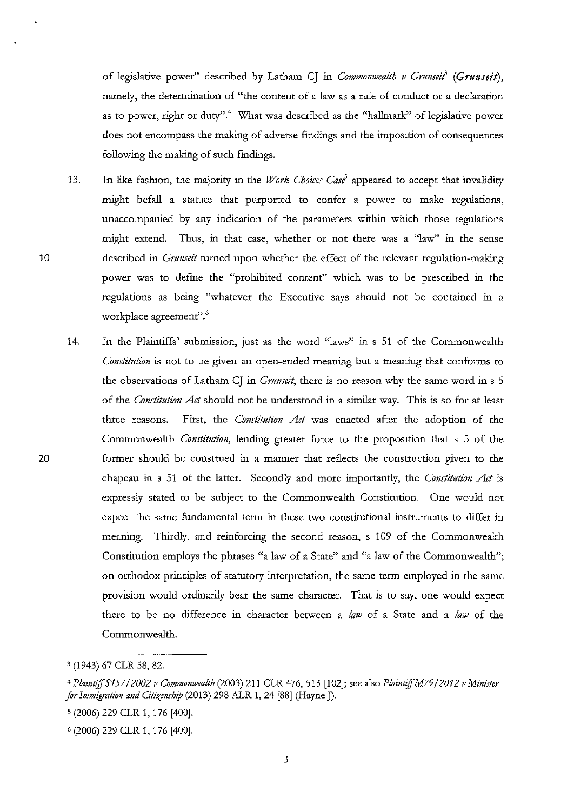of legislative power" described by Latham CJ in *Commonwealth v Grunseit*<sup>3</sup> (Grunseit), namely, the determination of "the content of a law as a rule of conduct or a declaration as to power, right or duty".<sup>4</sup> What was described as the "hallmark" of legislative power does not encompass the making of adverse findings and the imposition of consequences following the making of such findings.

- 13. In like fashion, the majority in the *Work Choices Case'* appeared to accept that invalidity might befall a statute that purported to confer a power to make regulations, unaccompanied by any indication of the parameters within which those regulations might extend. Thus, in that case, whether or not there was a "law" in the sense described in *Gnmseit* turned upon whether the effect of the relevant regulation-making power was to defrne the "prohibited content" which was to be prescribed in the regulations as being "whatever the Executive says should not be contained in a workplace agreement".<sup>6</sup>
- 14. In the Plaintiffs' submission, just as the word "laws" in s 51 of the Commonwealth *Constitution* is not to be given an open-ended meaning but a meaning that conforms to the observations of Latham CJ in *Gnmseit,* there is no reason why the same word in s 5 of the *Constitution Act* should not be understood in a similar way. This is so for at least three reasons. First, the *Constitution Act* was enacted after the adoption of the Commonwealth *Constitution,* lending greater force to the proposition that s 5 of the former should be construed in a manner that reflects the construction given to the chapeau in s 51 of the latter. Secondly and more importantly, the *Constitution Act* is expressly stated to be subject to the Commonwealth Constitution. One would not expect the same fundamental term in these two constitutional instruments to differ in meaning. Thirdly, and reinforcing the second reason, s 109 of the Commonwealth Constitution employs the phrases "a law of a State" and "a law of the Commonwealth"; on orthodox principles of statutory interpretation, the same term employed in the same provision would ordinarily bear the same character. That is to say, one would expect there to be no difference in character between a *law* of a State and a *law* of the Commonwealth.

3

<sup>&#</sup>x27; (1943) 67 CLR 58, 82.

<sup>4</sup>*PlaintiffS/57* I *2002 v Commonwealth* (2003) 211 CLR 476, 513 [102]; see also *P/aintif!M79 /2012 v Minister for Immigration and Citizmship* (2013) 298 ALR 1, 24 [88] (Hayne J).

s (2006) 229 CLR 1, 176 [400].

<sup>6 (2006) 229</sup> CLR 1, 176 [400].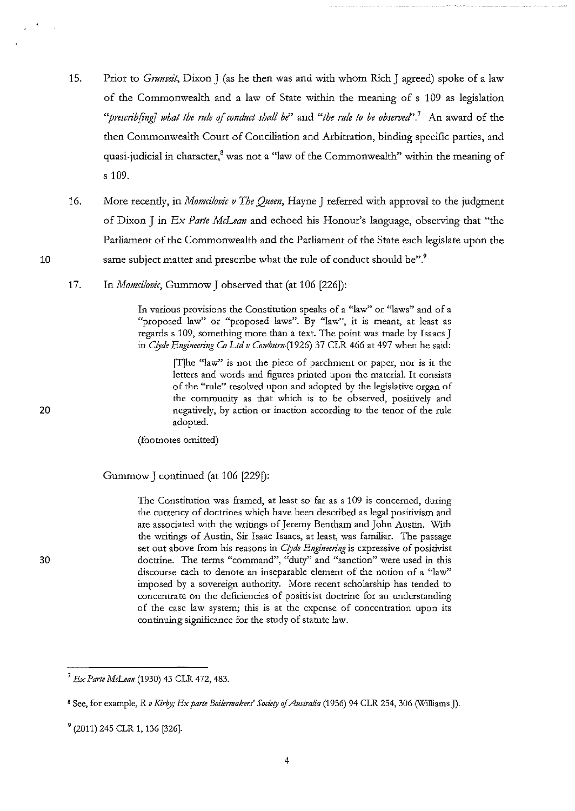- 15. Prior to *Gmnseit,* Dixon J (as he then was and with whom Rich J agreed) spoke of a law of the Commonwealth and a law of State within the meaning of s 1 09 as legislation *''prescrib[iniJ what the m!e* of *cond11ct shall be"* and *"the mfe to be obsetved'.*<sup>1</sup>An award of the then Commonwealth Court of Conciliation and Arbitration, binding specific parties, and quasi-judicial in character,<sup>8</sup> was not a "law of the Commonwealth" within the meaning of s 109.
- 16. More recently, in *Momcilovic v The Queen*, Hayne J referred with approval to the judgment of Dixon J in *Ex Parte McLean* and echoed his Honour's language, observing that "the Parliament of the Commonwealth and the Parliament of the State each legislate upon the same subject matter and prescribe what the rule of conduct should be".<sup>9</sup>
- 17. In *Momcifovic,* Gummow J observed that (at 106 [226]):

**In various provisions the Constitution speaks of a "law'' or "laws" and of a**  "proposed law" or "proposed laws". By "law", it is meant, at least as regards s 109, something more than a text. The point was made by Isaacs J in *Clyde Engineering Co Ltd v Cowburn* (1926) <sup>37</sup> CLR 466 at 497 when he said:

> **[T]he "law" is not the piece of parchment or paper, nor is it the letters and words and figures printed upon the material. It consists**  of the "rule" resolved upon and adopted by the legislative organ of the community as that which is to be observed, positively and **negatively, by action or inaction according to the tenor of the rule**  adopted.

(footnotes omitted)

Gummow J continued (at 106 [229D:

**The Constitution was framed, at least so far as s 109 is concerned, during**  the currency of doctrines which have been described as legal positivism and are associated with the writings of Jeremy Bentham and John Austin. With the writings of Austin, Sir Isaac Isaacs, at least, was familiar. The passage set out above from his reasons in *Clyde Engineering* is expressive of positivist doctrine. The terms "command", "duty" and "sanction" were used in this **discourse each to denote an inseparable element of the notion of a "law''**  imposed by a sovereign authority. More recent scholarship has tended to **concentrate on the deficiencies of positivist doctrine for an understanding of the case law system; this is at the expense of concentration upon its**  continuing significance for the study of statute law.

20

10

<sup>7</sup>*Ex Parte McLean* (1930) 43 CLR 472, 483.

s See, for example, R *v Kirby; Ex parte Boilermakers' Society* of *Akstralia* (1956) 94 CLR 254, 306 (Williams J).

<sup>9 (2011) 245</sup> CLR 1, 136 [326].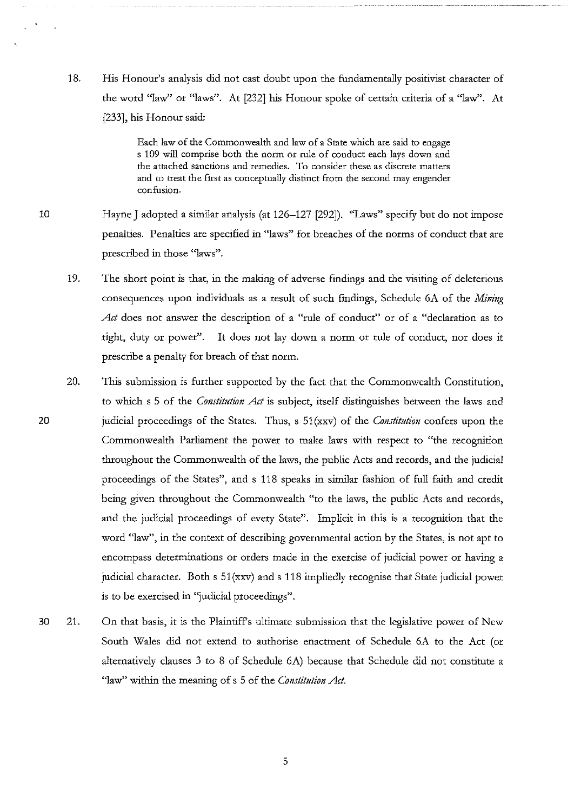18. His Honour's analysis did not cast doubt upon the fundamentally positivist character of the word "law" or "laws". At [232] his Honour spoke of certain criteria of a "law''. At [233], his Honour said:

> Each law of the Commonwealth and law of a State which are said to engage s 109 will comprise both the norm or rule of conduct each lays down and **the attached sanctions and remedies. To consider these as discrete matters**  and to treat the Erst as conceptually distinct from the second may engender **confusion.**

- 10 Hayne J adopted a similar analysis (at 126-127 [292]). "Laws" specify but do not impose penalties. Penalties are specified in "laws" for breaches of the norms of conduct that are prescribed in those "laws".
	- 19. The short point is that, in the making of adverse fmdings and the visiting of deleterious consequences upon individuals as a result of such fmdings, Schedule 6A of the *Mining*  Act does not answer the description of a "rule of conduct" or of a "declaration as to right, duty or power". It does not lay down a norm or rule of conduct, nor does it prescribe a penalty for breach of that norm.
	- 20. This submission is further supported by the fact that the Commonwealth Constitution, to which s 5 of the *Constitution Act* is subject, itself distinguishes between the laws and judicial proceedings of the States. Thus, s 51 (xxv) of the *Constitution* confers upon the Commonwealth Parliament the power to make laws with respect to "the recognition throughout the Commonwealth of the laws, the public Acts and records, and the judicial proceedings of the States", and s 118 speaks in similar fashion of full faith and credit being given throughout the Commonwealth "to the laws, the public Acts and records, and the judicial proceedings of every State". Implicit in this is a recognition that the word "law'', in the context of describing governmental action by the States, is not apt to encompass determinations or orders made in the exercise of judicial power or having a judicial character. Both  $s$  51(xxv) and  $s$  118 impliedly recognise that State judicial power is to be exercised in "judicial proceedings".
- 30 21. On that basis, it is the Plaintiffs ultimate submission that the legislative power of New South Wales did not extend to authorise enactment of Schedule 6A to the Act (or alternatively clauses 3 to 8 of Schedule 6A) because that Schedule did not constitute a "law" within the meaning of s 5 of the *Constitution Act.*

20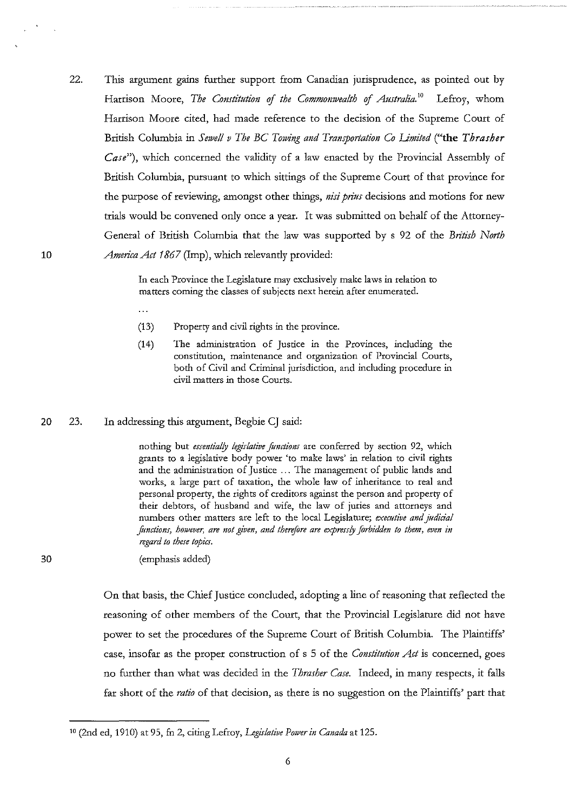22. This argument gains further support from Canadian jurisprudence, as pointed out by Harrison Moore, *The Constitution of the Commonwealth of Australia*.<sup>10</sup> Lefroy, whom Harrison Moore cited, had made reference to the decision of the Supreme Court of British Columbia in *Sewell v The BC Towing and Transportation Co Limited* ("the *Thrasher Case"),* which concerned the validity of a law enacted by the Provincial Assembly of British Columbia, pursuant to which sittings of the Supreme Court of that province for the purpose of reviewing, amongst other things, *nisi prius* decisions and motions for new trials would be convened only once a year. It was submitted on behalf of the Attorney-General of British Columbia that the law was supported by s 92 of the *British North America Act* 1867 (Imp), which relevandy provided:

> In each Province the Legislature may exclusively make laws in relation to **matters coming the classes of subjects next herein after enumerated.**

- $\ddotsc$
- (13) Property and civil rights in the province.
- (14) The administration of Justice in the Provinces, including the **constitution, maintenance and organization of Provincial Courts,**  both of Civil and Criminal jurisdiction, and including procedure in **civil matters in those Courts.**

### 20 23. In addressing this argument, Begbie CJ said:

nothing but *essentially legirlative Jimctionr* are conferred by section 92, which grants to a legislative body power 'to make laws' in relation to civil rights and the administration of Justice ... The management of public lands and **works, a large part of taxation, the whole law of inheritance to real and**  personal property, the rights of creditors against the person and property of their debtors, of husband and wife, the law of juries and attorneys and **numbers other matters are left to the local Legislature;** *executive and jitdici'al*  functions, however, are not given, and therefore are expressly forbidden to them, even in *regard to there topicr.* 

(emphasis added)

On that basis, the Chief Justice concluded, adopting a line of reasoning that reflected the reasoning of other members of the Court, that the Provincial Legislature did not have power to set the procedures of the Supreme Court of British Columbia. The Plaintiffs' case, insofar as the proper construction of s 5 of the *Constitution Act is* concerned, goes no further than what was decided in the *Thrasher Case.* Indeed, in many respects, it falls far short of the *ratio* of that decision, as there is no suggestion on the Plaintiffs' part that

30

to (2nd ed, 1910) at 95, fn 2, citing Lefroy, *Legirlative Power in Canada* at 125.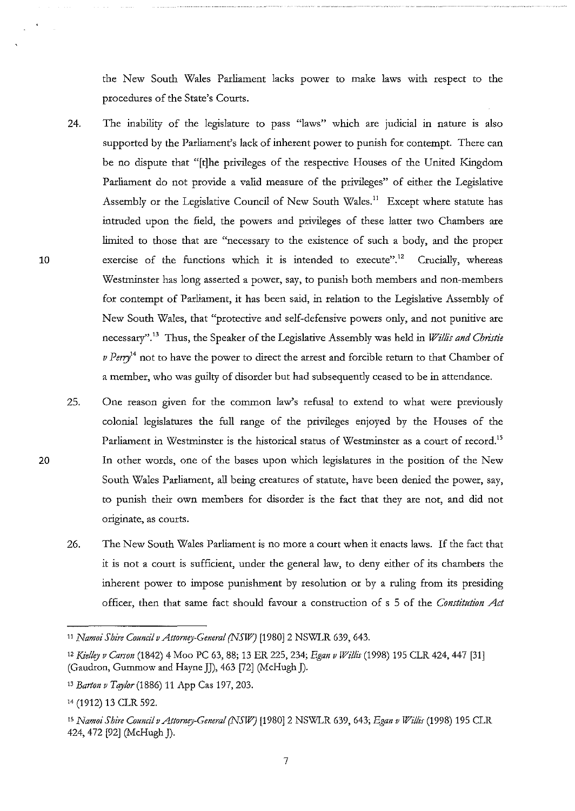the New South Wales Parliament lacks power to make laws with respect to the procedures of the State's Courts.

- 24. The inability of the legislature to pass "laws" which are judicial in nature is also supported by the Parliament's lack of inherent power to punish for contempt. There can be no dispute that "[t]he privileges of the respective Houses of the United Kingdom Parliament do not provide a valid measure of the privileges" of either the Legislative Assembly or the Legislative Council of New South Wales.<sup>11</sup> Except where statute has intruded upon the field, the powers and privileges of these latter two Chambers are limited to those that are "necessary to the existence of such a body, and the proper exercise of the functions which it is intended to execute".<sup>12</sup> Crucially, whereas Westminster has long asserted a power, say, to punish both members and non-members for contempt of Parliament, it has been said, in relation to the Legislative Assembly of New South Wales, that "protective and self-defensive powers only, and not punitive are necessary".<sup>13</sup> Thus, the Speaker of the Legislative Assembly was held in *Willis and Christie* v Perry<sup>14</sup> not to have the power to direct the arrest and forcible return to that Chamber of a member, who was guilty of disorder but had subsequently ceased to be in attendance.
	- 25. One reason given for the common law's refusal to extend to what were previously colonial legislatures the full range of the privileges enjoyed by the Houses of the Parliament in Westminster is the historical status of Westminster as a court of record.<sup>15</sup> In other words, one of the bases upon which legislatures in the position of the New South Wales Parliament, all being creatures of statute, have been denied the power, say, to punish their own members for disorder is the fact that they are not, and did not **originate, as courts.**
	- 26. The New South Wales Parliament is no more a court when it enacts laws. If the fact that it is not a court is sufficient, under the general law, to deny either of its chambers the inherent power to impose punishment by resolution or by a ruling from its presiding officer, then that same fact should favour a construction of s 5 of the *Constitution Act*

<sup>&</sup>lt;sup>11</sup> *Namoi Shire Council v Attorney-General (NSW)* [1980] 2 NSWLR 639, 643.

tz *Kielley v Carson* (1842) 4 Moo PC 63, 88; 13 ER 225, 234; *Egan v Willis* (1998) 195 CLR 424,447 [31] (Gaudron, Gummow and Hayne JJ), 463 [72] (McHugh J).

<sup>&</sup>lt;sup>13</sup> Barton v Taylor (1886) 11 App Cas 197, 203.

t4 (1912) 13 CLR 592.

ts *Namoi Shire Council v Attorney-General (NS!VJ* [1980]2 NSWLR 639, 643; *Egan v Willis* (1998) 195 CLR 424, 472 [92] (McHugh J).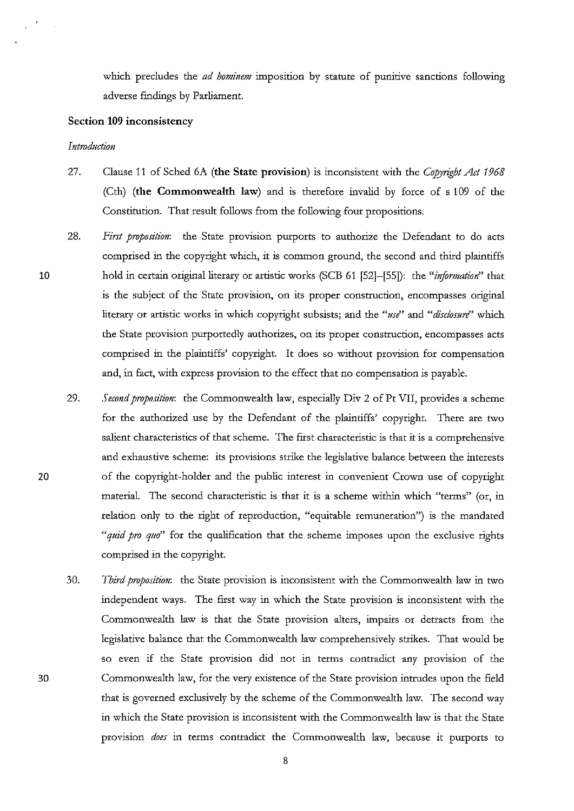which precludes the *ad hominem* imposition by statute of punitive sanctions following adverse findings by Parliament.

# **Section 109 inconsistency**

### *Introduction*

- 27. Clause 11 of Sched 6A **(the State provision)** is inconsistent with the *Copyright Act 1968*  (Cth) **(the Commonwealth law)** and is therefore invalid by force of s 109 of the Constitution. That result follows from the following four propositions.
- 28. *First proposition:* the State provision purports to authorize the Defendant to do acts comprised in the copyright which, it is common ground, the second and third plaintiffs hold in certain original literary or artistic works (SCB 61 [52]-[55]): the "information" that is the subject of the State provision, on its proper construction, encompasses original literary or artistic works in which copyright subsists; and the *"use"* and *"disclosure"* which the State provision purportedly authorizes, on its proper construction, encompasses acts comprised in the plaintiffs' copyright. It does so without provision for compensation and, in fact, with express provision to the effect that no compensation is payable.
- 29. *Second proposition*: the Commonwealth law, especially Div 2 of Pt VII, provides a scheme for the authorized use by the Defendant of the plaintiffs' copyright. There are two salient characteristics of that scheme. The flrst characteristic is that it is a comprehensive and exhaustive scheme: its provisions strike the legislative balance between the interests of the copyright-holder and the public interest in convenient Crown use of copyright material. The second characteristic is that it is a scheme within which "terms" (or, in relation only to the right of reproduction, "equitable remuneration'') is the mandated *"quid pro quo"* for the qualification that the scheme imposes upon the exclusive rights comprised in the copyright.
- 30. *Third proposition:* the State provision is inconsistent with the Commonwealth law in two independent ways. The flrst way in which the State provision is inconsistent with the Commonwealth law is that the State provision alters, impairs or detracts from the legislative balance that the Commonwealth law comprehensively strikes. That would be so even if the State provision did not in terms contradict any provision of the Commonwealth law, for the very existence of the State provision intrudes upon the fleld that is governed exclusively by the scheme of the Commonwealth law. The second way in which the State provision is inconsistent with the Commonwealth law is that the State provision *does* in terms contradict the Commonwealth law, because it purports to

8

20

30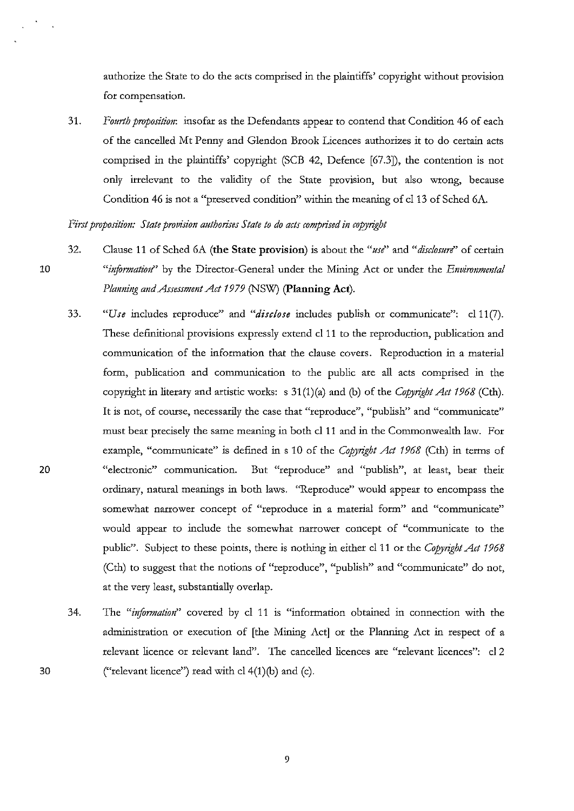authorize the State to do the acts comprised in the plaintiffs' copyright without provision for compensation.

31. *Fourth proposition:* insofar as the Defendants appear to contend that Condition 46 of each of the cancelled Mt Penny and Glendon Brook Licences authorizes it to do certain acts comprised in the plaintiffs' copyright (SCB 42, Defence [67.3]), the contention is not only irrelevant to the validity of the State provision, but also wrong, because Condition 46 is not a "preserved condition" within the meaning of cl 13 of Sched 6A.

*First proposition: State provision authorises State to do acts comprised in copyright* 

10

32. Clause 11 of Sched 6A **(the State provision)** is about the *"use''* and *"disclosure''* of certain "*information*" by the Director-General under the Mining Act or under the *Environmental Planning and Assessment Act 19 79* (NSW) **(Planning Act).** 

- 33. *"Use* includes reproduce" and *"disclose* includes publish or communicate": cl11(7). These definitional provisions expressly extend cl 11 to the reproduction, publication and communication of the information that the clause covers. Reproduction in a material form, publication and communication to the public are all acts comprised in the copyright in literary and artistic works: s 31(1)(a) and (b) of the *Copyright Act 1968* (Cth). **It is not, of course, necessarily the case that "reproduce", "publish" and "communicate"**  must bear precisely the same meaning in both cl 11 and in the Commonwealth law. For example, "communicate" is defined in s 10 of the *Copyrigbt Act 1968* (Cth) in terms of **"electronic" communication. But "reproduce" and "publish", at least, bear their**  ordinary, natural meanings in both laws. "Reproduce" would appear to encompass the **somewhat narrower concept of "reproduce in a material form" and "communicate"**  would appear to include the somewhat narrower concept of "communicate to the public". Subject to these points, there is nothing in either cl 11 or the *Copyright Act 1968*  (Cth) to suggest that the notions of "reproduce", "publish" and "communicate" do not, at the very least, substantially overlap.
- 34. The "information" covered by cl 11 is "information obtained in connection with the administration or execution of [the Mining Act] or the Planning Act in respect of a relevant licence or relevant land". The cancelled licences are "relevant licences": cl2 ("relevant licence") read with cl  $4(1)(b)$  and (c).

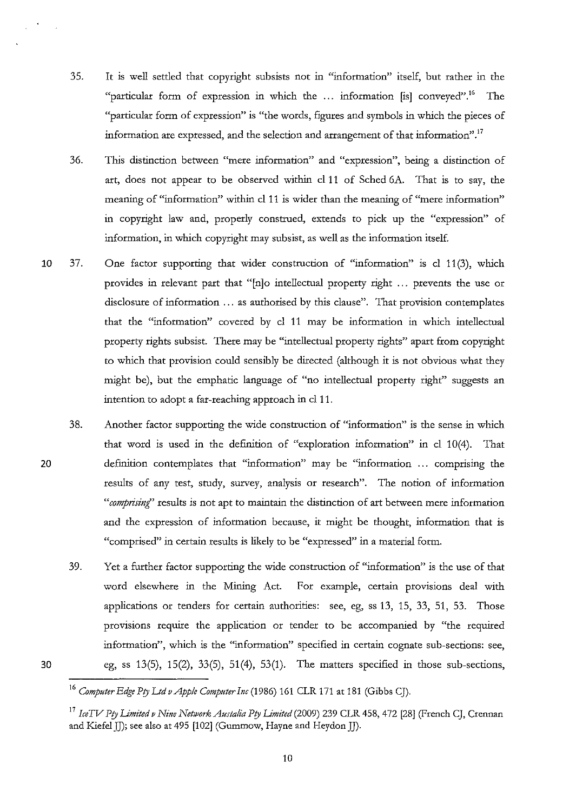- 35. It is well settled that copyright subsists not in "information" *itself,* but rather in the "particular form of expression in which the ... information [is] conveyed"." The "particular form of expression" is "the words, figures and symbols in which the pieces of information are expressed, and the selection and arrangement of that information".<sup>17</sup>
- 36. *This* distinction between "mere information" and "expression", being a distinction of art, does not appear to be observed within cl 11 of Sched 6A. That is to say, the meaning of "information" within cl 11 is wider than the meaning of "mere information" in copyright law and, properly construed, extends to pick up the "expression" of information, in which copyright may subsist, as well as the information itself.
- 10 37. One factor supporting that wider consttuction of "information" *is* cl 11 (3), which provides in relevant part that "[n]o intellectual property right ... prevents the use or disclosure of information ... as authorised by *this* clause". That provision contemplates that the "information" covered by cl 11 may be information in which intellectual property rights subsist. There may be "intellectual property rights" apart from copyright to which that provision could sensibly be directed (although *it is* not obvious what they might be), but the emphatic language of "no intellectual property right" suggests an intention to adopt a far-reaching approach in cl 11.
	- 38. Another factor supporting the wide construction of "information" *is* the sense in which that word is used in the definition of "exploration information" in cl 10(4). That definition contemplates that "information" may be "information . . . comprising the results of any test, study, survey, analysis or research". The notion of information *"comprising'* results *is* not apt to maintain the distinction of art between mere information and the expression of information because, it might be thought, information that *is*  "comprised" in certain results is likely to be "expressed" in a material form.
		- 39. Yet a further factor supporting the wide construction of "information" *is* the use of that word elsewhere in the Mining Act. For example, certain provisions deal with applications or tenders for certain authorities: see, eg, ss 13, 15, 33, 51, 53. Those provisions require the application or tender to be accompanied by "the required information", which *is* the "information" specified in certain cognate sub-sections: see, eg, ss 13(5), 15(2), 33(5), 51(4), 53(1). The matters specified in those sub-sections,

20

<sup>16</sup>*Computer Edge Pry Ltd vApple Computer Inc* (1986) 161 CLR 171 at 181 (Gibbs CJ).

<sup>&</sup>lt;sup>17</sup> IceTV Pty Limited v Nine Network Austalia Pty Limited (2009) 239 CLR 458, 472 [28] (French CJ, Crennan and Kiefel JJ); see also at 495 [102] (Gummow, Hayne and Heydon JJ).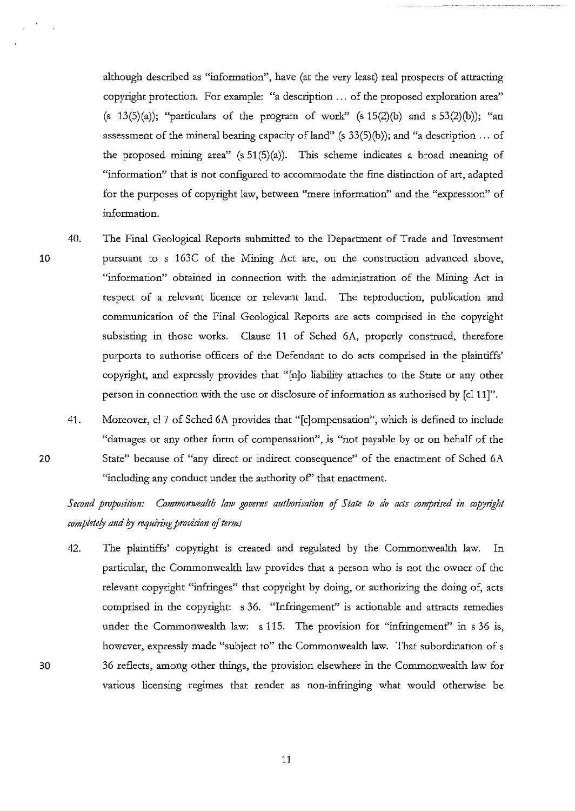although described as "information", have (at the very least) real prospects of attracting copyright protection. For example: "a description ... of the proposed exploration area" (s 13(5)(a)); "particulars of the program of work" (s  $15(2)$ (b) and s  $53(2)$ (b)); "an assessment of the mineral bearing capacity of land" (s  $33(5)(b)$ ); and "a description ... of the proposed mining area" (s  $51(5)(a)$ ). This scheme indicates a broad meaning of "information" that is not configured to accommodate the fme distinction of art, adapted for the purposes of copyright law, between "mere information" and the "expression" of information.

- 40. The Final Geological Reports submitted to the Department of Trade and Investment pursuant to s 163C of the Mining Act are, on the construction advanced above, "information" obtained in connection with the administration of the Mining Act in respect of a relevant licence or relevant land. The reproduction, publication and communication of the Final Geological Reports are acts comprised in the copyright subsisting in those works. Clause 11 of Sched 6A, properly construed, therefore purports to authorise officers of the Defendant to do acts comprised in the plaintiffs' copyright, and expressly provides that "[n]o liability attaches to the State or any other person in connection with the use or disclosure of information as authorised by [cl 11]".
- 41. Moreover, cl 7 of Sched 6A provides that "[c]ompensation", which is defmed to include "damages or any other form of compensation", is "not payable by or on behalf of the State" because of "any direct or indirect consequence" of the enactment of Sched 6A "including any conduct under the authority of" that enactment.

*Second proposition: Commomvealth law governs authorisation of State to do acts comprised in copyright completely and by requiring provision of terms* 

42. The plaintiffs' copyright is created and regulated by the Commonwealth law. In particular, the Commonwealth law provides that a person who is not the owner of the relevant copyright "infringes" that copyright by doing, or authorizing the doing of, acts comprised in the copyright: s 36. "Infringement" is actionable and attracts remedies under the Commonwealth law: s 115. The provision for "infringement" in s 36 is, however, expressly made "subject to" the Commonwealth law. That subordination of s 36 reflects, among other things, the provision elsewhere in the Commonwealth law for various licensing regimes that render as non-infringing what would otherwise be

10

20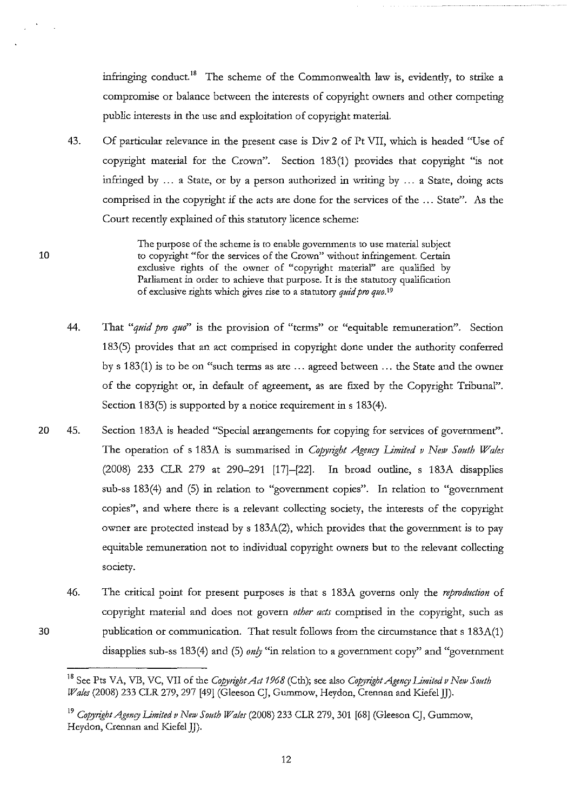infringing conduct.<sup>18</sup> The scheme of the Commonwealth law is, evidently, to strike a compromise or balance between the interests of copyright owners and other competing public interests in the use and exploitation of copyright material.

43. Of particular relevance in the present case is Div 2 of Pt VII, which is headed "Use of copyright material for the Crown". Section 183(1) provides that copyright "is not infringed by  $\ldots$  a State, or by a person authorized in writing by  $\ldots$  a State, doing acts comprised in the copyright if the acts are done for the services of the ... State". As the Court recently explained of this statutory licence scheme:

10

30

**The purpose of the scheme is to enable governments to use material subject to copyright "for the services of the Crown" without infringement. Certain**  exclusive rights of the owner of "copyright material" are qualified by Parliament in order to achieve that purpose. It is the statutory qualification of exclusive rights which gives rise to a statutory *quid pro quo."* 

- 44. That "quid pro quo" is the provision of "terms" or "equitable remuneration". Section 183(5) provides that an act comprised in copyright done under the authority conferred by s 183 (1) is to be on "such terms as are ... agreed between ... the State and the owner of the copyright or, in default of agreement, as are fixed by the Copyright Tribunal". Section 183(5) is supported by a notice requirement in s 183(4).
- 20 45. Section 183A is headed "Special arrangements for copying for services of government". The operation of s 183A is summarised in *Copyright Agency Limited v New South Wales* (2008) 233 CLR 279 at 290-291 [17]-[22]. In broad outline, s 183A disapplies sub-ss 183(4) and (5) in relation to "government copies". In relation to "government copies", and where there is a relevant collecting society, the interests of the copyright owner are protected instead by s 183A(2), which provides that the government is to pay equitable remuneration not to individual copyright owners but to the relevant collecting society.
	- 46. The critical point for present purposes is that s 183A governs only the *reproduction* of copyright material and does not govern *other acts* comprised in the copyright, such as publication or communication. That result follows from the circumstance that s 183A(1) disapplies sub-ss 183(4) and (5) *only* "in relation to a government copy" and "government

<sup>&</sup>lt;sup>18</sup> See Pts VA, VB, VC, VII of the *Copyright Act 1968* (Cth); see also *Copyright Agency Limited v New South Wales* (2008) 233 CLR 279, 297 [49] (Gleeson CJ, Gummow, Heydon, Crennan and Kiefel JJ).

<sup>&</sup>lt;sup>19</sup> Copyright Agency Limited v New South Wales (2008) 233 CLR 279, 301 [68] (Gleeson CJ, Gummow, Heydon, Crennan and Kiefel JJ).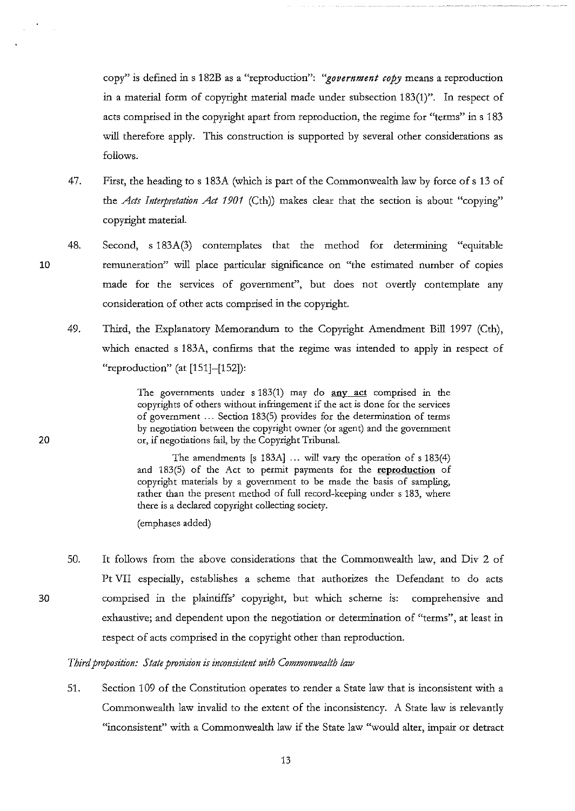copy" is defined ins 182B as a "reproduction": *''government copy* means a reproduction in a material form of copyright material made under subsection 183(1)". In respect of acts comprised in the copyright apart from reproduction, the regime for "terms" in s 183 will therefore apply. This construction is supported by several other considerations as follows.

- 47. First, the heading to s 183A (which is part of the Commonwealth law by force of s 13 of the *Acts Interpretation Act 1901* (Cth)) makes clear that the section is about "copying" copyright material.
- 48. Second, s 183A(3) contemplates that the method for determining "equitable remuneration" will place particular significance on "the estimated number of copies made for the services of government", but does not overtly contemplate any consideration of other acts comprised in the copyright.
	- 49. Third, the Explanatory Memorandum to the Copyright Amendment Bill 1997 (Cth), which enacted s 183A, confirms that the regime was intended to apply in respect of "reproduction" (at [151]-[152]):

The governments under  $s$  183(1) may do any act comprised in the copyrights of others without infringement if the act is done for the services of government ... Section 183(5) provides for the determination of terms by negotiation between the copyright owner (or agent) and the government or, if negotiations fail, by the Copyright Tribunal.

The amendments [s 183A] ... will vary the operation of s 183(4) and 183(5) of the Act to permit payments for the **reproduction** of copyright materials by a government to be made the basis of sampling, rather than the present method of full record-keeping under s 183, where there is a declared copyright collecting society.

(emphases added)

50. It follows from the above considerations that the Commonwealth law, and Div 2 of Pt VII especially, establishes a scheme that authorizes the Defendant to do acts comprised in the plaintiffs' copyright, but which scheme is: comprehensive and exhaustive; and dependent upon the negotiation or determination of "terms", at least in respect of acts comprised in the copyright other than reproduction.

# *Third proposition: State provision is inconsistent tvith Commomvealth law*

51. Section 109 of the Constitution operates to render a State law that is inconsistent with a Commonwealth law invalid to the extent of the inconsistency. A State law is relevantly "inconsistent" with a Commonwealth law if the State law "would alter, impair or detract

20

10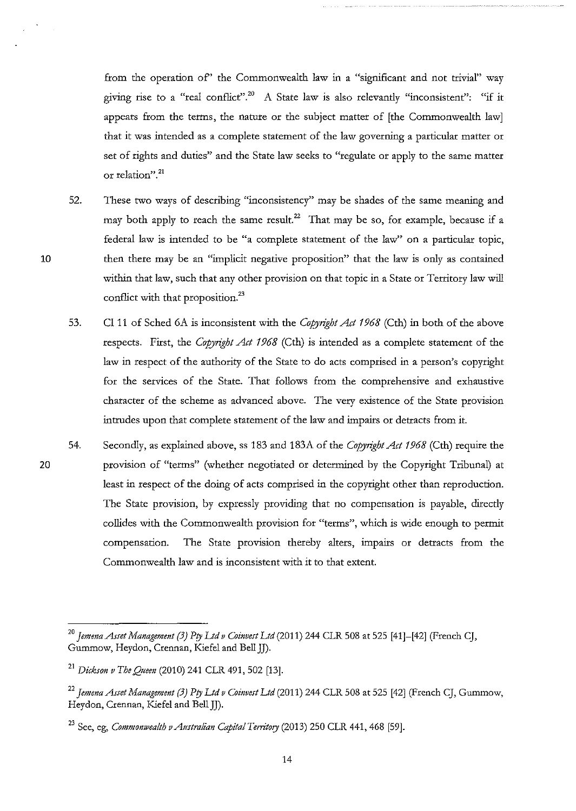from the operation of' the Commonwealth law in a "significant and not trivial" way giving rise to a "real conflict".<sup>20</sup> A State law is also relevantly "inconsistent": "if it appears from the terms, the nature or the subject matter of [the Commonwealth law] that it was intended as a complete statement of the law governing a particular matter or set of rights and duties" and the State law seeks to "regulate or apply to the same matter **or relation". <sup>21</sup>**

- 52. These two ways of describing "inconsistency" may be shades of the same meaning and may both apply to reach the same result.<sup>22</sup> That may be so, for example, because if a federal law is intended to be "a complete statement of the law" on a particular topic, then there may be an "implicit negative proposition" that the law is only as contained within that law, such that any other provision on that topic in a State or Territory law will conflict with that proposition.<sup>23</sup>
- 53. Cl 11 of Sched 6A is inconsistent with the *Copyright Act 1968* (Cth) in both of the above respects. First, the *Copyright Act 1968* (Cth) is intended as a complete statement of the law in respect of the authority of the State to do acts comprised in a person's copyright for the services of the State. That follows from the comprehensive and exhaustive character of the scheme as advanced above. The very existence of the State provision intrudes upon that complete statement of the law and impairs or detracts from it.
- 54. Secondly, as explained above, ss 183 and 183A of the *Copyright Act 1968* (Cth) require the provision of "terms" (whether negotiated or determined by the Copyright Tribunal) at least in respect of the doing of acts comprised in the copyright other than reproduction. The State provision, by expressly providing that no compensation is payable, directly collides with the Commonwealth provision for "terms", which is wide enough to permit compensation. The State provision thereby alters, impairs or detracts from the Commonwealth law and is inconsistent with it to that extent.

20

<sup>&</sup>lt;sup>20</sup> Jemena Asset Management (3) Pty Ltd v Coinvest Ltd (2011) 244 CLR 508 at 525 [41]-[42] (French CJ, Gummow, Heydon, Crennan, Kiefel and Bell JJ).

<sup>21</sup>*Dickson v The Queen* (2010) 241 CLR 491,502 [13].

<sup>22</sup>*]emma Asset Management (3) Pty Ltd v Coinvest Ltd* (2011) 244 CLR 508 at 525 [42] (French CJ, Gummow, Heydon, Crennan, Kiefel and Bell JJ).

<sup>&</sup>lt;sup>23</sup> See, eg, *Commonwealth v Australian Capital Territory* (2013) 250 CLR 441, 468 [59].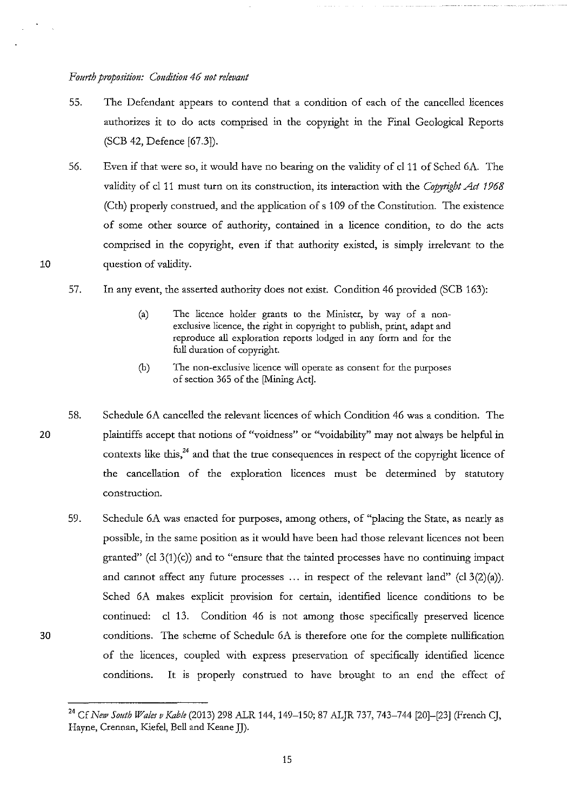10

30

- 55. The Defendant appears to contend that a condition of each of the cancelled licences authorizes it to do acts comprised in the copyright in the Final Geological Reports (SCB 42, Defence [67.3]).
- 56. Even if that were so, it would have no bearing on the validity of cl11 of Sched 6A. The validity of cl 11 must turn on its construction, its interaction with the *Copyright Act 1968*  (Cth) properly construed, and the application of s 109 of the Constitution. The existence of some other source of authority, contained in a licence condition, to do the acts comprised in the copyright, even if that authority existed, is simply irrelevant to the question of validity.
- 57. In any event, the asserted authority does not exist. Condition 46 provided (SCB 163):
	- (a) The licence holder grants to the Minister, by way of a nonexclusive licence, the right in copyright to publish, print, adapt and reproduce all exploration reports lodged in any form and for the full duration of copyright.
	- **(b) The non-exclusive licence will operate as consent for the purposes**  of section 365 of the [Mining Act].
- 20 58. Schedule 6A cancelled the relevant licences of which Condition 46 was a condition. The plaintiffs accept that notions of "voidness" or "voidability" may not always be helpful in contexts like this,<sup>24</sup> and that the true consequences in respect of the copyright licence of the cancellation of the exploration licences must be determined by statutory **construction.** 
	- 59. Schedule 6A was enacted for purposes, among others, of "placing the State, as nearly as possible, in the same position as it would have been had those relevant licences not been granted" (cl  $3(1)(c)$ ) and to "ensure that the tainted processes have no continuing impact and cannot affect any future processes ... in respect of the relevant land" (cl  $3(2)(a)$ ). Sched 6A makes explicit provision for certain, identified licence conditions to be continued: cl 13. Condition 46 is not among those specifically preserved licence conditions. The scheme of Schedule 6A is therefore one for the complete nullification of the licences, coupled with express preservation of specifically identified licence conditions. It is properly construed to have brought to an end the effect of

<sup>&</sup>lt;sup>24</sup> Cf *New South Wales v Kable* (2013) 298 ALR 144, 149–150; 87 ALJR 737, 743–744 [20]–[23] (French CJ, Hayne, Crennan, Kiefel, Bell and Keane JJ).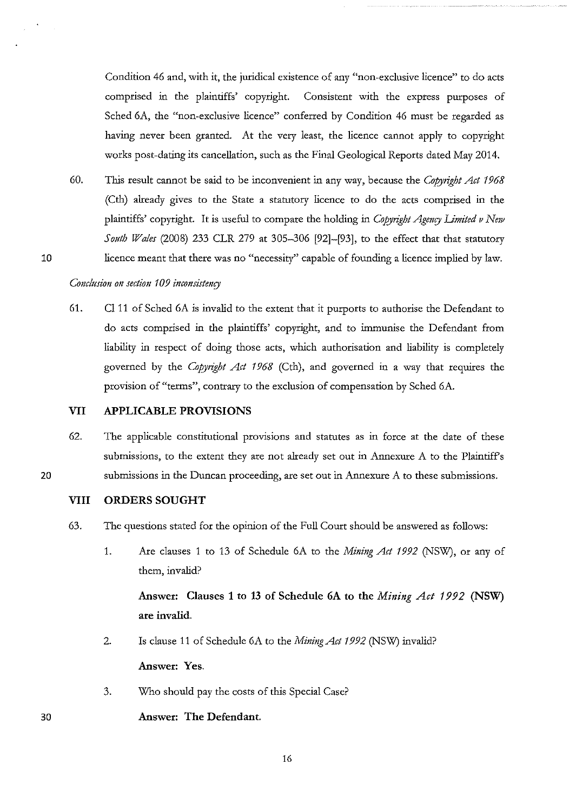Condition 46 and, with it, the juridical existence of any "non-exclusive licence" to do acts comprised in the plaintiffs' copyright. Consistent with the express purposes of Sched 6A, the "non-exclusive licence" conferred by Condition 46 must be regarded as having never been granted. At the very least, the licence cannot apply to copyright works post-dating its cancellation, such as the Final Geological Reports dated May 2014.

60. This result cannot be said to be inconvenient in any way, because the *Copyright Act* 1968 (Cth) already gives to the State a statutory licence to do the acts comprised in the plaintiffs' copyright. It is useful to compare the holding in *Copyright Agency Limited v New Sottth Wales* (2008) 233 CLR 279 at 305-306 [92]-[93], to the effect that that statutory licence meant that there was no "necessity" capable of founding a licence implied by law.

# *Conclttsion on section* 109 *inconsistenry*

10

30

61. Cl 11 of Sched 6A is invalid to the extent that it purports to authorise the Defendant to do acts comprised in the plaintiffs' copyright, and to immunise the Defendant from liability in respect of doing those acts, which authorisation and liability is completely governed by the *Copyright Act* 1968 (Cth), and governed in a way that requires the provision of "terms", contrary to the exclusion of compensation by Sched 6A.

# **VII APPLICABLE PROVISIONS**

62. The applicable constitutional provisions and statutes as in force at the date of these submissions, to the extent they are not already set out in Annexure A to the Plaintiffs 20 submissions in the Duncan proceeding, are set out in Annexure A to these submissions.

### **VIII ORDERS SOUGHT**

- 63. The questions stated for the opinion of the Full Court should be answered as follows:
	- 1. Are clauses 1 to 13 of Schedule 6A to the *Mining Act* 1992 (NSW), or any of them, invalid?

Answer: Clauses 1 to 13 of Schedule 6A to the *Mining Act 1992* (NSW) **are invalid.** 

2. Is clause 11 of Schedule 6A to the *Mining Act* 1992 (NSW) invalid? **Answer: Yes.** 

16

3. Who should pay the costs of this Special Case?

# **Answer: The Defendant.**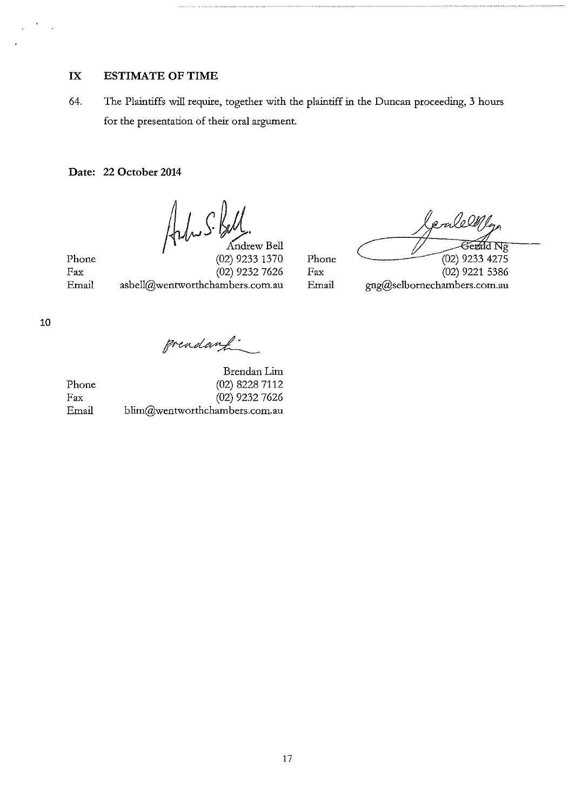# **IX ESTIMATE OF TIME**

64. The Plaintiffs will require, together with the plaintiff in the Duncan proceeding, 3 hours for the presentation of their oral argument.

**Date: 22 October 2014** 

Adu S. Kell.

Phone Fax

(02) 9233 1370 (02) 9232 7626 Email asbell@wentworthchambers.com.au Email gng@selbornechambers.com.au

Phone Fax

*Counter Counter 1944*<br> *Counter 102* 9233 4275<br>
(02) 9221 5386

grendant.

Brendan **Lim**  Phone (02) 8228 7112<br>Fax (02) 9232 7626 (02) 9232 7626 Email blim@wentworthchambers.com.au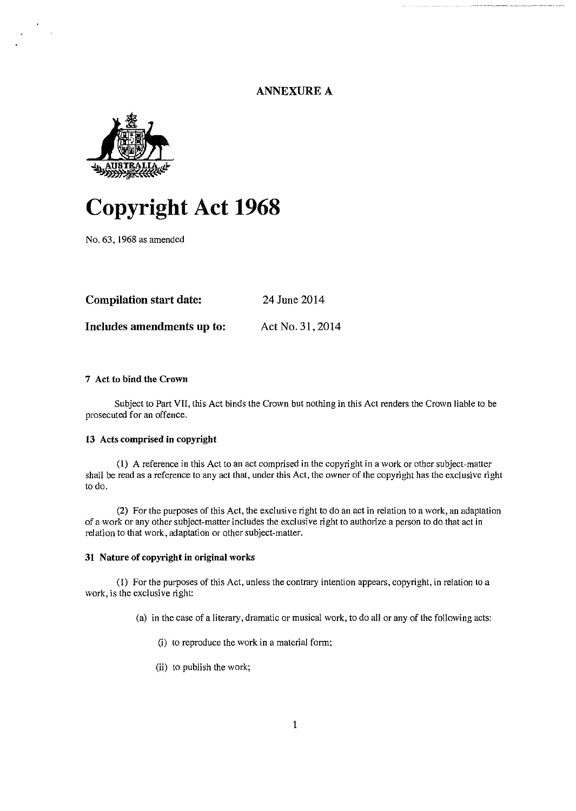# ANNEXURE A



# **Copyright Act 1968**

No. 63. 1968 as amended

| <b>Compilation start date:</b> | 24 June 2014     |
|--------------------------------|------------------|
| Includes amendments up to:     | Act No. 31, 2014 |

# 7 Act to bind the Crown

Subject to Part VII, this Act binds the Crown but nothing in this Act renders the Crown liable to be prosecuted for an offence.

### 13 Acts comprised in copyright

(I) A reference in this Act to an act comprised in the copyright in a work or other subject-matter shall be read as a reference to any act that, under this Act, the owner of the copyright has the exclusive right to do.

(2) For the purposes of this Act, the exclusive right to do an act in relation to a work, an adaptation of a work or any other subject-matter includes the exclusive right to authorize a person to do that act in relation to that work, adaptation or other subject-matter.

### 31 Natnre of copyright in original works

(I) For the purposes of this Act, unless the contrary intention appears, copyright, in relation to a work, is the exclusive right:

(a) in the case of a literary, dramatic or musical work, to do all or any of the following acts:

- (i) to reproduce the work in a material form;
- (ii) to publish the work;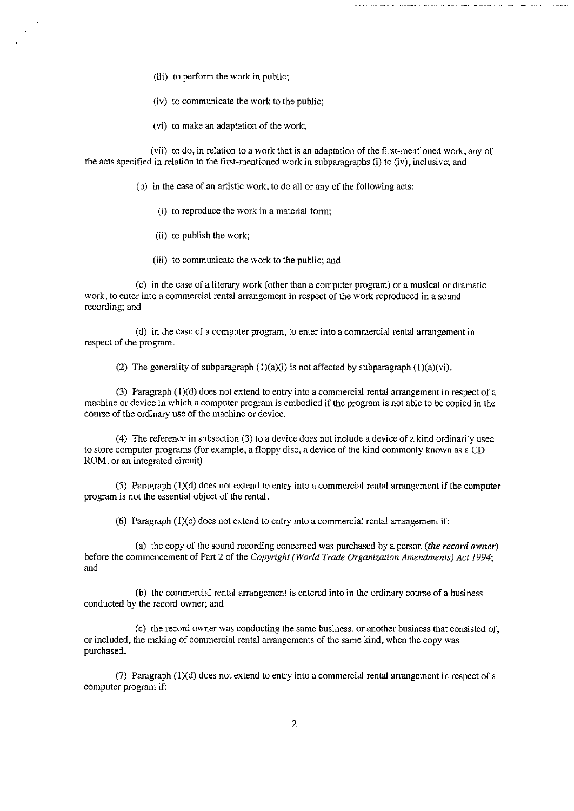- (iii) to perform the work in public;
- (iv) to communicate the work to the public;
- (vi) to make an adaptation of the work;

(vii) to do, in relation to a work that is an adaptation of the first-mentioned work, any of the acts specified in relation to the first-mentioned work in subparagraphs (i) to (iv), inclusive; and

- (b) in the case of an artistic work, to do all or any of the following acts:
	- (i) to reproduce the work in a material form;
	- (ii) to publish the work;
	- (iii) to communicate the work to the public; and

(c) in the case of a literary work (other than a computer program) or a musical or dramatic **work, to enter into a commercial rental arrangement in respect of the work reproduced in a sound**  recording; and

(d) in the case of a computer program, to enter into a commercial rental arrangement in respect of the program.

(2) The generality of subparagraph  $(1)(a)(i)$  is not affected by subparagraph  $(1)(a)(vi)$ .

(3) Paragraph (I)(d) does not extend to entry into a commercial rental arrangement in respect of a machine or device in which a computer program is embodied if the program is not able to be copied in the course of the ordinary use of the machine or device.

(4) The reference in subsection (3) to a device does not include a device of a kind ordinarily used to store computer programs (for example, a floppy disc, a device of the kind commonly known as a CD ROM, or an integrated circuit).

(5) Paragraph  $(1)(d)$  does not extend to entry into a commercial rental arrangement if the computer program is not the essential object of the rental.

(6) Paragraph  $(1)(c)$  does not extend to entry into a commercial rental arrangement if:

(a) the copy of the sound recording concerned was purchased by a person *(the record owner)*  before the commencement of Part 2 of the *Copyright (World Trade Organization Amendments) Act 1994;*  and

(b) the commercial rental arrangement is entered into in the ordinary course of a business conducted by the record owner; and

(c) the record owner was conducting the same business, or another business that consisted of, or included, the making of commercial rental arrangements of the same kind, when the copy was purchased.

(7) Paragraph  $(1)(d)$  does not extend to entry into a commercial rental arrangement in respect of a computer program if: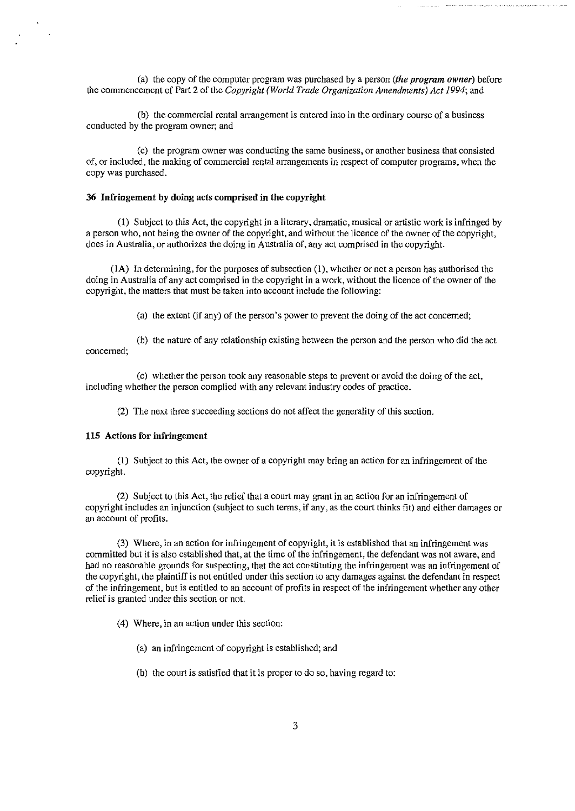(a) the copy of the computer program was purchased by a person *(the program owner)* before the commencement of Part 2 of the *Copyright (World Trade Organization Amendments) Act 1994;* and

**(b) the commercial rental arrangement is entered into in the ordinary course of a business**  conducted by the program owner; and

(c) the program owner was conducting the same business, or another business that consisted of, **or included, the making of commercial rental arrangements in respect of computer programs, when the**  copy was purchased.

### 36 Infringement by doing acts comprised in the copyright

(I) Subject to this Act, the copyright in a literary, dramatic, musical or artistic work is infringed by a person who, not being the owner of the copyright, and without the licence of the owner of the copyright, does in Australia, or authorizes the doing in Australia of, any act comprised in the copyright.

(lA) In determining, for the purposes of subsection (I), whether or not a person has authorised the doing in Australia of any act comprised in the copyright in a work, without the licence of the owner of the copyright, the matters that must be taken into account include the following:

(a) the extent (if any) of the person's power to prevent the doing of the act concerned;

(b) the nature of any relationship existing between the person and the person who did the act **concerned;** 

(c) whether the person took any reasonable steps to prevent or avoid the doing of the act, including whether the person complied with any relevant industry codes of practice.

(2) The next three succeeding sections do not affect the generality of this section.

### 115 Actions for infringement

(I) Subject to this Act, the owner of a copyright may bring an action for an infringement of the copyright.

(2) Subject to this Act, the relief that a court may grant in an action for an infringement of copyright includes an injunction (subject to such terms, if any, as the court thinks fit) and either damages or an account of profits.

(3) Where, in an action for infringement of copyright, it is established that an infringement was committed but it is also established that, at the time of the infringement, the defendant was not aware, and had no reasonable grounds for suspecting, that the act constituting the infringement was an infringement of the copyright, the plaintiff is not entitled under this section to any damages against the defendant in respect of the infringement, but is entitled to an account of profits in respect of the infringement whether any other relief is granted under this section or not.

(4) Where, in an action under this section:

- (a) an infringement of copyright is established; and
- (b) the court is satisfied that it is proper to do so, having regard to: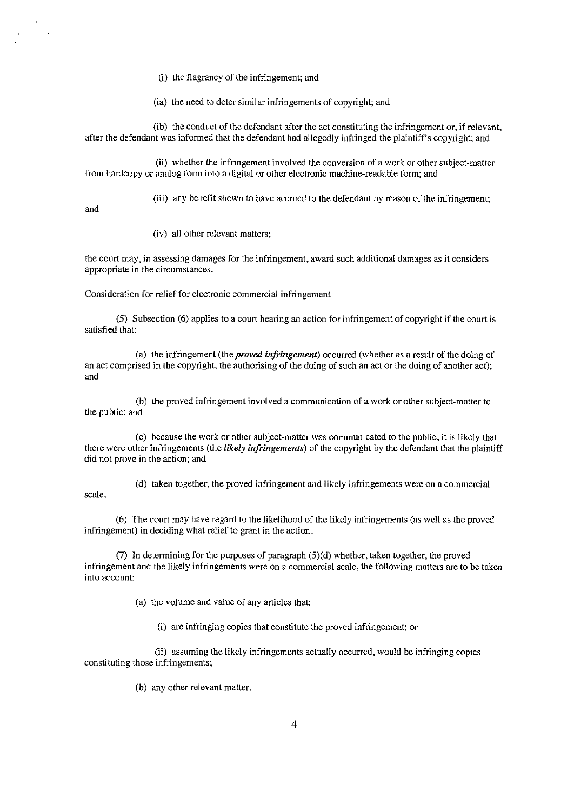(i) the flagrancy of the infringement; and

(ia) the need to deter similar infringements of copyright; and

(ib) the conduct of the defendant after the act constituting the infringement or, if relevant, after the defendant was informed that the defendant had allegedly infringed the plaintiff's copyright; and

(ii) whether the infringement involved the conversion of a work or other subject-matter from hardcopy or analog form into a digital or other electronic machine-readable form; and

(iii) any benefit shown to have accrued to the defendant by reason of the infringement;

and

(iv) all other relevant matters;

**the court may, in assessing damages for the infringement, award such additional damages as it considers appropriate in the circumstances.** 

Consideration for relief for electronic commercial infringement

(5) Subsection (6) applies to a court hearing an action for infringement of copyright if the court is satisfied that:

(a) the infringement (the *proved infringement)* occurred (whether as a result of the doing of an act comprised in the copyright, the authorising of the doing of such an act or the doing of another act); and

(b) the proved infringement involved a communication of a work or other subject-matter to the public; and

(c) because the work or other subject-matter was communicated to the public, it is likely that there were other infringements (the *likely infringements)* of the copyright by the defendant that the plaintiff did not prove in the action; and

(d) taken together, the proved infringement and likely infringements were on a commercial scale.

(6) The court may have regard to the likelihood of the likely infringements (as well as the proved infringement) in deciding what relief to grant in the action.

(7) In determining for the purposes of paragraph (5)(d) whether, taken together, the proved infringement and the likely infringements were on a commercial scale, the following matters are to be taken **into account:** 

(a) the volume and value of any articles that:

(i) are infringing copies that constitute the proved infringement; or

(ii) assuming the likely infringements actually occurred, would be infringing copies constituting those infringements;

(b) any other relevant matter.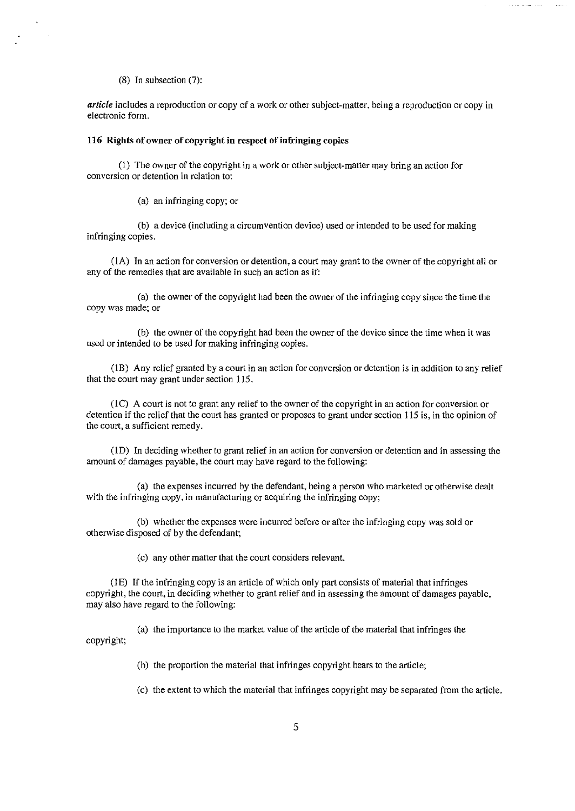(8) In subsection (7):

 $\sim$  .

*article* includes a reproduction or copy of a work or other subject-matter, being a reproduction or copy in **electronic form.** 

### 116 Rights of owner of copyright in respect of infringing copies

(I) The owner of the copyright in a work or other subject-matter may bring an action for **conversion or detention in relation to:** 

(a) an infringing copy; or

(b) a device (including a circumvention device) used or intended to be used for making infringing copies.

( lA) In an action for conversion or detention, a court may grant to the owner of the copyright all or any of the remedies that are available in such an action as if:

(a) the owner of the copyright had been the owner of the infringing copy since the time the copy was made; or

(b) the owner of the copyright had been the owner of the device since the time when it was **used or intended to be used for making infringing copies.** 

(I B) Any relief granted by a court in an action for conversion or detention is in addition to any relief that the court may grant under section 115.

(I C) A court is not to grant any relief to the owner of the copyright in an action for conversion or detention if the relief that the court has granted or proposes to grant under section 115 is, in the opinion of the court, a sufficient remedy.

**(lD) In deciding whether to grant relief in an action for conversion or detention and in assessing the**  amount of damages payable, the court may have regard to the following:

(a) the expenses incurred by the defendant, being a person who marketed or otherwise dealt with the infringing copy, in manufacturing or acquiring the infringing copy;

(b) whether the expenses were incurred before or after the infringing copy was sold or otherwise disposed of by the defendant;

(c) any other matter that the court considers relevant.

(IE) If the infringing copy is an article of which only part consists of material that infringes copyright, the court, in deciding whether to grant relief and in assessing the amount of damages payable, may also have regard to the following:

(a) the importance to the market value of the article of the material that infringes the copyright;

(b) the proportion the material that infringes copyright bears to the article;

(c) the extent to which the material that infringes copyright may be separated from the article.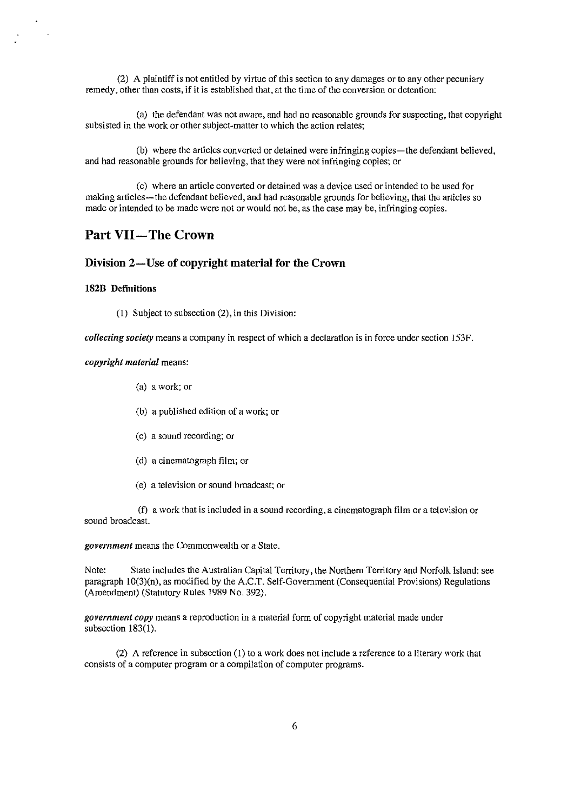(2) A plaintiff is not entitled by virtue of this section to any damages or to any other pecuniary remedy, other than costs, if it is established that, at the time of the conversion or detention:

(a) the defendant was not aware, and had no reasonable grounds for suspecting, that copyright subsisted in the work or other subject-matter to which the action relates;

(b) where the articles converted or detained were infringing copies—the defendant believed, and had reasonable grounds for believing, that they were not infringing copies; or

(c) where an article converted or detained was a device used or intended to be used for making articles—the defendant believed, and had reasonable grounds for believing, that the articles so made or intended to be made were not or would not be, as the case may be, infringing copies.

# **Part VII-The Crown**

# **Division 2-Use of copyright material for the Crown**

### **182B Definitions**

(I) Subject to subsection (2), in this Division:

*collecting society* means a company in respect of which a declaration is in force under section 153F.

### *copyright material* means:

- (a) a work; or
- (b) a published edition of a work; or
- (c) a sound recording; or
- (d) a cinematograph film; or
- (e) a television or sound broadcast; or

(f) a work that is included in a sound recording, a cinematograph film or a television or sound broadcast.

*government* means the Commonwealth or a State.

Note: State includes the Australian Capital Territory, the Northern Territory and Norfolk Island: see paragraph 10(3)(n), as modified by the A.C.T. Self-Government (Consequential Provisions) Regulations (Amendment) (Statutory Rules 1989 No. 392).

*government copy* means a reproduction in a material form of copyright material made under subsection 183(1).

(2) A reference in subsection (I) to a work does not include a reference to a literary work that **consists of a computer program or a compilation of computer programs.**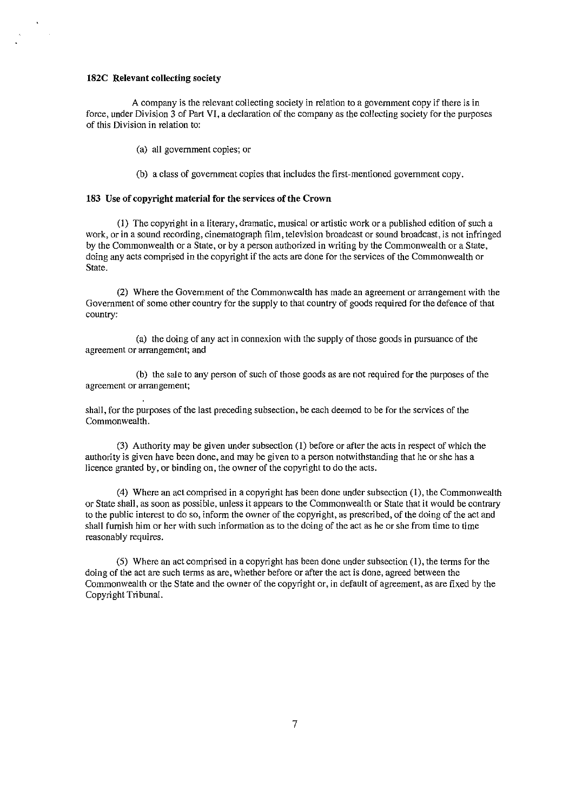### **182C Relevant collecting** society

A company is the relevant collecting society in relation to a government copy if there is in force, under Division 3 of Part VI, a declaration of the company as the collecting society for the purposes **of this Division in relation to:** 

(a) all government copies; or

(b) a class of government copies that includes the first-mentioned government copy.

### **183** Use of **copyright material for the** services of **the Crown**

(I) The copyright in a literary, dramatic, musical or artistic work or a published edition of such a work, or in a sound recording, cinematograph film, television broadcast or sound broadcast, is not infringed by the Commonwealth or a State, or by a person authorized in writing by the Commonwealth or a State, doing any acts comprised in the copyright if the acts are done for the services of the Commonwealth or State.

(2) Where the Government of the Commonwealth has made an agreement or arrangement with the Government of some other country for the supply to that country of goods required for the defence of that country:

(a) the doing of any act in connexion with the supply of those goods in pursuance of the **agreement or arrangement; and** 

(b) the sale to any person of such of those goods as are not required for the purposes of the **agreement or arrangement;** 

shall, for the purposes of the last preceding subsection, be each deemed to be for the services of the Commonwealth.

(3) Authority may be given under subsection (I) before or after the acts in respect of which the authority is given have been done, and may be given to a person notwithstanding that he or she has a licence granted by, or binding on, the owner of the copyright to do the acts.

(4) Where an act comprised in a copyright has been done under subsection (1), the Commonwealth or State shall, as soon as possible, unless it appears to the Commonwealth or State that it would be contrary to the public interest to do so, inform the owner of the copyright, as prescribed, of the doing of the act and shall furnish him or her with such information as to the doing of the act as he or she from time to time reasonably requires.

(5) Where an act comprised in a copyright has been done under subsection **(1),** the terms for the doing of the act are such terms as are, whether before or after the act is done, agreed between the Commonwealth or the State and the owner of the copyright or, in default of agreement, as are fixed by the Copyright Tribunal.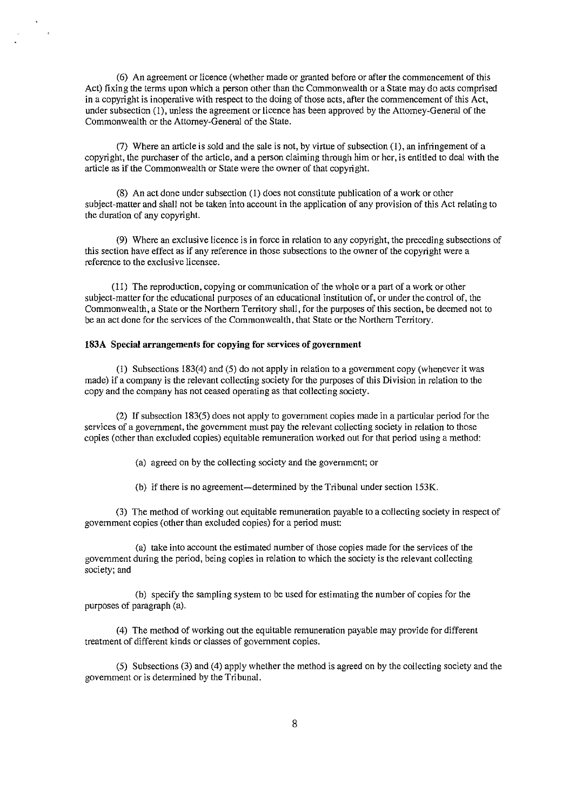(6) An agreement or licence (whether made or granted before or after the commencement of this Act) fixing the terms upon which a person other than the Commonwealth or a State may do acts comprised in a copyright is inoperative with respect to the doing of those acts, after the commencement of this Act, under subsection (I), unless the agreement or licence has been approved by the Attorney-General of the Commonwealth or the Attorney-General of the State.

(7) Where an article is sold and the sale is not, by virtue of subsection (I), an infringement of a copyright, the purchaser of the article, and a person claiming through him or her, is entitled to deal with the article as if the Commonwealth or State were the owner of that copyright.

(8) An act done under subsection (I) does not constitute publication of a work or other subject-matter and shall not be taken into account in the application of any provision of this Act relating to the duration of any copyright.

(9) Where an exclusive licence is in force in relation to any copyright, the preceding subsections of this section have effect as if any reference in those subsections to the owner of the copyright were a **reference to the exclusive licensee.** 

(II) The reproduction, copying or communication of the whole or a part of a work or other subject-matter for the educational purposes of an educational institution of, or under the control of, the Commonwealth, a State or the Northern Territory shall, for the purposes of this section, be deemed not to be an act done for the services of the Commonwealth, that State or the Northern Territory.

### I83A Special arrangements for copying for services of government

 $\mathbb{R}^2$ 

(I) Subsections 183(4) and (5) do not apply in relation to a government copy (whenever it was made) if a company is the relevant collecting society for the purposes of this Division in relation to the copy and the company has not ceased operating as that collecting society.

(2) If subsection 183(5) does not apply to government copies made in a particular period for the services of a government, the government must pay the relevant collecting society in relation to those copies (other than excluded copies) equitable remuneration worked out for that period using a method:

(a) agreed on by the collecting society and the government; or

(b) if there is no agreement-determined by the Tribunal under section 153K.

(3) The method of working out equitable remuneration payable to a collecting society in respect of government copies (other than excluded copies) for a period must:

(a) take into account the estimated number of those copies made for the services of the government during the period, being copies in relation to which the society is the relevant collecting society; and

(b) specify the sampling system to be used for estimating the number of copies for the purposes of paragraph (a).

(4) The method of working out the equitable remuneration payable may provide for different treatment of different kinds or classes of government copies.

(5) Subsections (3) and (4) apply whether the method is agreed on by the collecting society and the government or is determined by the Tribunal.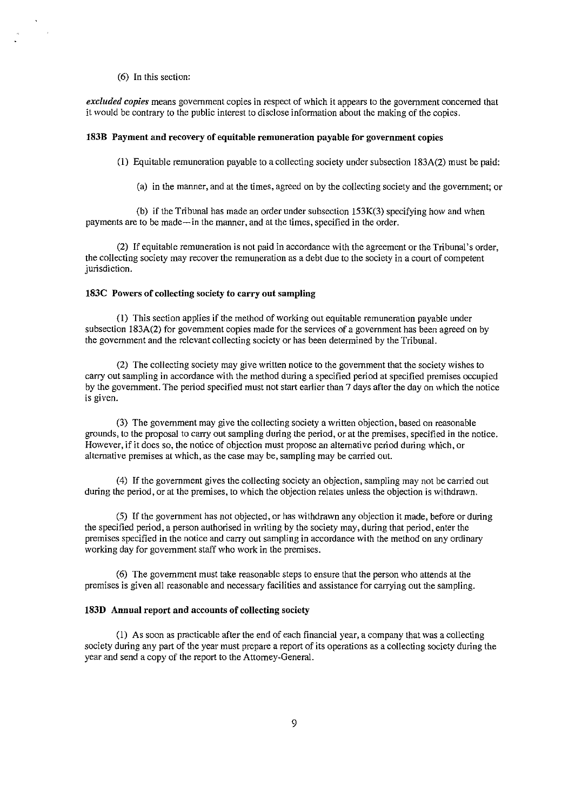### (6) In this section:

*excluded copies* **means government copies in respect of which it appears to the government concerned that**  it would be contrary to the public interest to disclose information about the making of the copies.

### 183B Payment and recovery of equitable remuneration payable for government copies

(I) Equitable remuneration payable to a collecting society under subsection 183A(2) must be paid:

(a) in the manner, and at the times, agreed on by the collecting society and the government; or

(b) if the Tribunal has made an order under subsection  $153K(3)$  specifying how and when payments are to be made-in the manner, and at the times, specified in the order.

(2) If equitable remuneration is not paid in accordance with the agreement or the Tribunal's order, the collecting society may recover the remuneration as a debt due to the society in a court of competent jurisdiction.

### 183C Powers of collecting society to carry out sampling

(I) This section applies if the method of working out equitable remuneration payable under subsection 183A(2) for government copies made for the services of a government has been agreed on by the government and the relevant collecting society or has been determined by the Tribunal.

(2) The collecting society may give written notice to the government that the society wishes to carry out sampling in accordance with the method during a specified period at specified premises occupied by the government. The period specified must not start earlier than 7 days after the day on which the notice **is given.** 

(3) The government may give the collecting society a written objection, based on reasonable grounds, to the proposal to carry out sampling during the period, or at the premises, specified in the notice. However, if it does so, the notice of objection must propose an alternative period during which, or alternative premises at which, as the case may be, sampling may be carried out.

(4) If the government gives the collecting society an objection, sampling may not be carried out during the period, or at the premises, to which the objection relates unless the objection is withdrawn.

(5) If the government has not objected, or has withdrawn any objection it made, before or during the specified period, a person authorised in writing by the society may, during that period, enter the premises specified in the notice and carry out sampling in accordance with the method on any ordinary working day for government staff who work in the premises.

(6) The government must take reasonable steps to ensure that the person who attends at the premises is given all reasonable and necessary facilities and assistance for carrying out the sampling.

### 183D Annual report and accounts of collecting society

(I) As soon as practicable after the end of each financial year, a company that was a collecting society during any part of the year must prepare a report of its operations as a collecting society during the year and send a copy of the report to the Attorney-General.